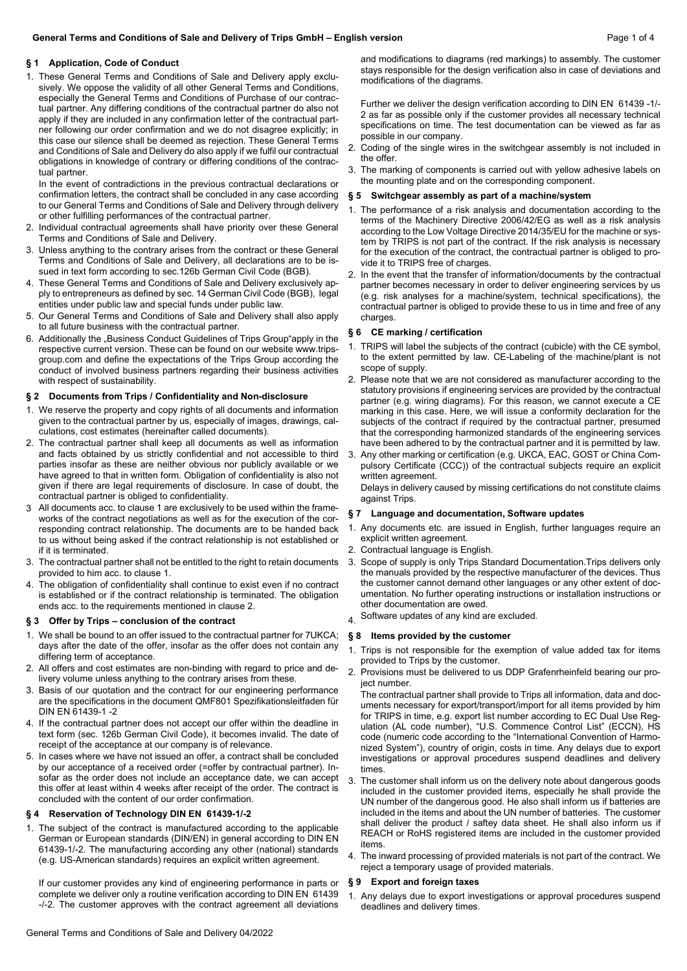## **§ 1 Application, Code of Conduct**

1. These General Terms and Conditions of Sale and Delivery apply exclusively. We oppose the validity of all other General Terms and Conditions, especially the General Terms and Conditions of Purchase of our contractual partner. Any differing conditions of the contractual partner do also not apply if they are included in any confirmation letter of the contractual partner following our order confirmation and we do not disagree explicitly; in this case our silence shall be deemed as rejection. These General Terms and Conditions of Sale and Delivery do also apply if we fulfil our contractual obligations in knowledge of contrary or differing conditions of the contractual partner.

In the event of contradictions in the previous contractual declarations or confirmation letters, the contract shall be concluded in any case according to our General Terms and Conditions of Sale and Delivery through delivery or other fulfilling performances of the contractual partner.

- 2. Individual contractual agreements shall have priority over these General Terms and Conditions of Sale and Delivery.
- 3. Unless anything to the contrary arises from the contract or these General Terms and Conditions of Sale and Delivery, all declarations are to be issued in text form according to sec.126b German Civil Code (BGB).
- 4. These General Terms and Conditions of Sale and Delivery exclusively apply to entrepreneurs as defined by sec. 14 German Civil Code (BGB), legal entities under public law and special funds under public law.
- 5. Our General Terms and Conditions of Sale and Delivery shall also apply to all future business with the contractual partner.
- 6. Additionally the "Business Conduct Guidelines of Trips Group"apply in the respective current version. These can be found on our website www.tripsgroup.com and define the expectations of the Trips Group according the conduct of involved business partners regarding their business activities with respect of sustainability

## **§ 2 Documents from Trips / Confidentiality and Non-disclosure**

- 1. We reserve the property and copy rights of all documents and information given to the contractual partner by us, especially of images, drawings, calculations, cost estimates (hereinafter called documents).
- 2. The contractual partner shall keep all documents as well as information and facts obtained by us strictly confidential and not accessible to third parties insofar as these are neither obvious nor publicly available or we have agreed to that in written form. Obligation of confidentiality is also not given if there are legal requirements of disclosure. In case of doubt, the contractual partner is obliged to confidentiality.
- 3 All documents acc. to clause 1 are exclusively to be used within the frameworks of the contract negotiations as well as for the execution of the corresponding contract relationship. The documents are to be handed back to us without being asked if the contract relationship is not established or if it is terminated.
- 3. The contractual partner shall not be entitled to the right to retain documents provided to him acc. to clause 1.
- 4. The obligation of confidentiality shall continue to exist even if no contract is established or if the contract relationship is terminated. The obligation ends acc. to the requirements mentioned in clause 2.

## **§ 3 Offer by Trips – conclusion of the contract**

- 1. We shall be bound to an offer issued to the contractual partner for 7UKCA; days after the date of the offer, insofar as the offer does not contain any differing term of acceptance.
- 2. All offers and cost estimates are non-binding with regard to price and delivery volume unless anything to the contrary arises from these.
- 3. Basis of our quotation and the contract for our engineering performance are the specifications in the document QMF801 Spezifikationsleitfaden für DIN EN 61439-1 -2
- 4. If the contractual partner does not accept our offer within the deadline in text form (sec. 126b German Civil Code), it becomes invalid. The date of receipt of the acceptance at our company is of relevance.
- 5. In cases where we have not issued an offer, a contract shall be concluded by our acceptance of a received order (=offer by contractual partner). Insofar as the order does not include an acceptance date, we can accept this offer at least within 4 weeks after receipt of the order. The contract is concluded with the content of our order confirmation.

# **§ 4 Reservation of Technology DIN EN 61439-1/-2**

1. The subject of the contract is manufactured according to the applicable German or European standards (DIN/EN) in general according to DIN EN 61439-1/-2. The manufacturing according any other (national) standards (e.g. US-American standards) requires an explicit written agreement.

If our customer provides any kind of engineering performance in parts or complete we deliver only a routine verification according to DIN EN 61439 -/-2. The customer approves with the contract agreement all deviations

and modifications to diagrams (red markings) to assembly. The customer stays responsible for the design verification also in case of deviations and modifications of the diagrams.

Further we deliver the design verification according to DIN EN 61439 -1/- 2 as far as possible only if the customer provides all necessary technical specifications on time. The test documentation can be viewed as far as possible in our company.

- 2. Coding of the single wires in the switchgear assembly is not included in the offer.
- 3. The marking of components is carried out with yellow adhesive labels on the mounting plate and on the corresponding component.

# **§ 5 Switchgear assembly as part of a machine/system**

- 1. The performance of a risk analysis and documentation according to the terms of the Machinery Directive 2006/42/EG as well as a risk analysis according to the Low Voltage Directive 2014/35/EU for the machine or system by TRIPS is not part of the contract. If the risk analysis is necessary for the execution of the contract, the contractual partner is obliged to provide it to TRIPS free of charges.
- 2. In the event that the transfer of information/documents by the contractual partner becomes necessary in order to deliver engineering services by us (e.g. risk analyses for a machine/system, technical specifications), the contractual partner is obliged to provide these to us in time and free of any charges.

#### **§ 6 CE marking / certification**

- 1. TRIPS will label the subjects of the contract (cubicle) with the CE symbol, to the extent permitted by law. CE-Labeling of the machine/plant is not scope of supply.
- 2. Please note that we are not considered as manufacturer according to the statutory provisions if engineering services are provided by the contractual partner (e.g. wiring diagrams). For this reason, we cannot execute a CE marking in this case. Here, we will issue a conformity declaration for the subjects of the contract if required by the contractual partner, presumed that the corresponding harmonized standards of the engineering services have been adhered to by the contractual partner and it is permitted by law.
- 3. Any other marking or certification (e.g. UKCA, EAC, GOST or China Compulsory Certificate (CCC)) of the contractual subjects require an explicit written agreement.

Delays in delivery caused by missing certifications do not constitute claims against Trips.

#### **§ 7 Language and documentation, Software updates**

- 1. Any documents etc. are issued in English, further languages require an explicit written agreement.
- 2. Contractual language is English.
- 3. Scope of supply is only Trips Standard Documentation.Trips delivers only the manuals provided by the respective manufacturer of the devices. Thus the customer cannot demand other languages or any other extent of documentation. No further operating instructions or installation instructions or other documentation are owed.
- 4. Software updates of any kind are excluded.

## **§ 8 Items provided by the customer**

- 1. Trips is not responsible for the exemption of value added tax for items provided to Trips by the customer.
- 2. Provisions must be delivered to us DDP Grafenrheinfeld bearing our project number.

The contractual partner shall provide to Trips all information, data and documents necessary for export/transport/import for all items provided by him for TRIPS in time, e.g. export list number according to EC Dual Use Regulation (AL code number), "U.S. Commence Control List" (ECCN), HS code (numeric code according to the "International Convention of Harmonized System"), country of origin, costs in time. Any delays due to export investigations or approval procedures suspend deadlines and delivery times.

- 3. The customer shall inform us on the delivery note about dangerous goods included in the customer provided items, especially he shall provide the UN number of the dangerous good. He also shall inform us if batteries are included in the items and about the UN number of batteries. The customer shall deliver the product / saftey data sheet. He shall also inform us if REACH or RoHS registered items are included in the customer provided items.
- 4. The inward processing of provided materials is not part of the contract. We reject a temporary usage of provided materials.

#### **§ 9 Export and foreign taxes**

Any delays due to export investigations or approval procedures suspend deadlines and delivery times.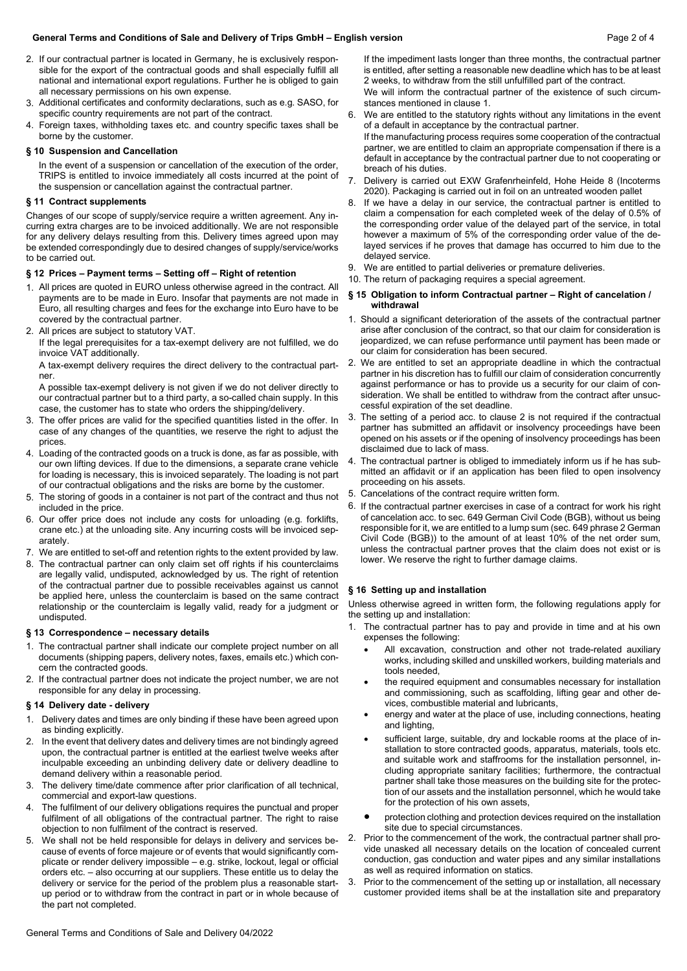## **General Terms and Conditions of Sale and Delivery of Trips GmbH – English version** Page 2 of 4

- 2. If our contractual partner is located in Germany, he is exclusively responsible for the export of the contractual goods and shall especially fulfill all national and international export regulations. Further he is obliged to gain all necessary permissions on his own expense.
- 3. Additional certificates and conformity declarations, such as e.g. SASO, for specific country requirements are not part of the contract.
- 4. Foreign taxes, withholding taxes etc. and country specific taxes shall be borne by the customer.

#### **§ 10 Suspension and Cancellation**

In the event of a suspension or cancellation of the execution of the order, TRIPS is entitled to invoice immediately all costs incurred at the point of the suspension or cancellation against the contractual partner.

#### **§ 11 Contract supplements**

Changes of our scope of supply/service require a written agreement. Any incurring extra charges are to be invoiced additionally. We are not responsible for any delivery delays resulting from this. Delivery times agreed upon may be extended correspondingly due to desired changes of supply/service/works to be carried out.

# **§ 12 Prices – Payment terms – Setting off – Right of retention**

- 1. All prices are quoted in EURO unless otherwise agreed in the contract. All payments are to be made in Euro. Insofar that payments are not made in Euro, all resulting charges and fees for the exchange into Euro have to be covered by the contractual partner.
- 2. All prices are subject to statutory VAT.

If the legal prerequisites for a tax-exempt delivery are not fulfilled, we do invoice VAT additionally.

A tax-exempt delivery requires the direct delivery to the contractual partner.

A possible tax-exempt delivery is not given if we do not deliver directly to our contractual partner but to a third party, a so-called chain supply. In this case, the customer has to state who orders the shipping/delivery.

- 3. The offer prices are valid for the specified quantities listed in the offer. In case of any changes of the quantities, we reserve the right to adjust the prices.
- 4. Loading of the contracted goods on a truck is done, as far as possible, with our own lifting devices. If due to the dimensions, a separate crane vehicle for loading is necessary, this is invoiced separately. The loading is not part of our contractual obligations and the risks are borne by the customer.
- 5. The storing of goods in a container is not part of the contract and thus not included in the price.
- 6. Our offer price does not include any costs for unloading (e.g. forklifts, crane etc.) at the unloading site. Any incurring costs will be invoiced separately.
- 7. We are entitled to set-off and retention rights to the extent provided by law.
- 8. The contractual partner can only claim set off rights if his counterclaims are legally valid, undisputed, acknowledged by us. The right of retention of the contractual partner due to possible receivables against us cannot be applied here, unless the counterclaim is based on the same contract relationship or the counterclaim is legally valid, ready for a judgment or undisputed.

# **§ 13 Correspondence – necessary details**

- 1. The contractual partner shall indicate our complete project number on all documents (shipping papers, delivery notes, faxes, emails etc.) which concern the contracted goods.
- 2. If the contractual partner does not indicate the project number, we are not responsible for any delay in processing.

## **§ 14 Delivery date - delivery**

- 1. Delivery dates and times are only binding if these have been agreed upon as binding explicitly.
- 2. In the event that delivery dates and delivery times are not bindingly agreed upon, the contractual partner is entitled at the earliest twelve weeks after inculpable exceeding an unbinding delivery date or delivery deadline to demand delivery within a reasonable period.
- 3. The delivery time/date commence after prior clarification of all technical, commercial and export-law questions.
- The fulfilment of our delivery obligations requires the punctual and proper fulfilment of all obligations of the contractual partner. The right to raise objection to non fulfilment of the contract is reserved.
- 5. We shall not be held responsible for delays in delivery and services because of events of force majeure or of events that would significantly complicate or render delivery impossible – e.g. strike, lockout, legal or official orders etc. – also occurring at our suppliers. These entitle us to delay the delivery or service for the period of the problem plus a reasonable startup period or to withdraw from the contract in part or in whole because of the part not completed.

If the impediment lasts longer than three months, the contractual partner is entitled, after setting a reasonable new deadline which has to be at least 2 weeks, to withdraw from the still unfulfilled part of the contract.

We will inform the contractual partner of the existence of such circumstances mentioned in clause 1.

6. We are entitled to the statutory rights without any limitations in the event of a default in acceptance by the contractual partner.

If the manufacturing process requires some cooperation of the contractual partner, we are entitled to claim an appropriate compensation if there is a default in acceptance by the contractual partner due to not cooperating or breach of his duties.

- 7. Delivery is carried out EXW Grafenrheinfeld, Hohe Heide 8 (Incoterms 2020). Packaging is carried out in foil on an untreated wooden pallet
- If we have a delay in our service, the contractual partner is entitled to claim a compensation for each completed week of the delay of 0.5% of the corresponding order value of the delayed part of the service, in total however a maximum of 5% of the corresponding order value of the delayed services if he proves that damage has occurred to him due to the delayed service.
- 9. We are entitled to partial deliveries or premature deliveries.
- 10. The return of packaging requires a special agreement.

## **§ 15 Obligation to inform Contractual partner – Right of cancelation / withdrawal**

- 1. Should a significant deterioration of the assets of the contractual partner arise after conclusion of the contract, so that our claim for consideration is jeopardized, we can refuse performance until payment has been made or our claim for consideration has been secured.
- 2. We are entitled to set an appropriate deadline in which the contractual partner in his discretion has to fulfill our claim of consideration concurrently against performance or has to provide us a security for our claim of consideration. We shall be entitled to withdraw from the contract after unsuccessful expiration of the set deadline.
- 3. The setting of a period acc. to clause 2 is not required if the contractual partner has submitted an affidavit or insolvency proceedings have been opened on his assets or if the opening of insolvency proceedings has been disclaimed due to lack of mass.
- 4. The contractual partner is obliged to immediately inform us if he has submitted an affidavit or if an application has been filed to open insolvency proceeding on his assets.
- 5. Cancelations of the contract require written form.
- 6. If the contractual partner exercises in case of a contract for work his right of cancelation acc. to sec. 649 German Civil Code (BGB), without us being responsible for it, we are entitled to a lump sum (sec. 649 phrase 2 German Civil Code (BGB)) to the amount of at least 10% of the net order sum, unless the contractual partner proves that the claim does not exist or is lower. We reserve the right to further damage claims.

## **§ 16 Setting up and installation**

Unless otherwise agreed in written form, the following regulations apply for the setting up and installation:

- The contractual partner has to pay and provide in time and at his own expenses the following:
	- All excavation, construction and other not trade-related auxiliary works, including skilled and unskilled workers, building materials and tools needed,
	- the required equipment and consumables necessary for installation and commissioning, such as scaffolding, lifting gear and other devices, combustible material and lubricants,
	- energy and water at the place of use, including connections, heating and lighting,
	- sufficient large, suitable, dry and lockable rooms at the place of installation to store contracted goods, apparatus, materials, tools etc. and suitable work and staffrooms for the installation personnel, including appropriate sanitary facilities; furthermore, the contractual partner shall take those measures on the building site for the protection of our assets and the installation personnel, which he would take for the protection of his own assets,
	- protection clothing and protection devices required on the installation site due to special circumstances.
- Prior to the commencement of the work, the contractual partner shall provide unasked all necessary details on the location of concealed current conduction, gas conduction and water pipes and any similar installations as well as required information on statics.
- 3. Prior to the commencement of the setting up or installation, all necessary customer provided items shall be at the installation site and preparatory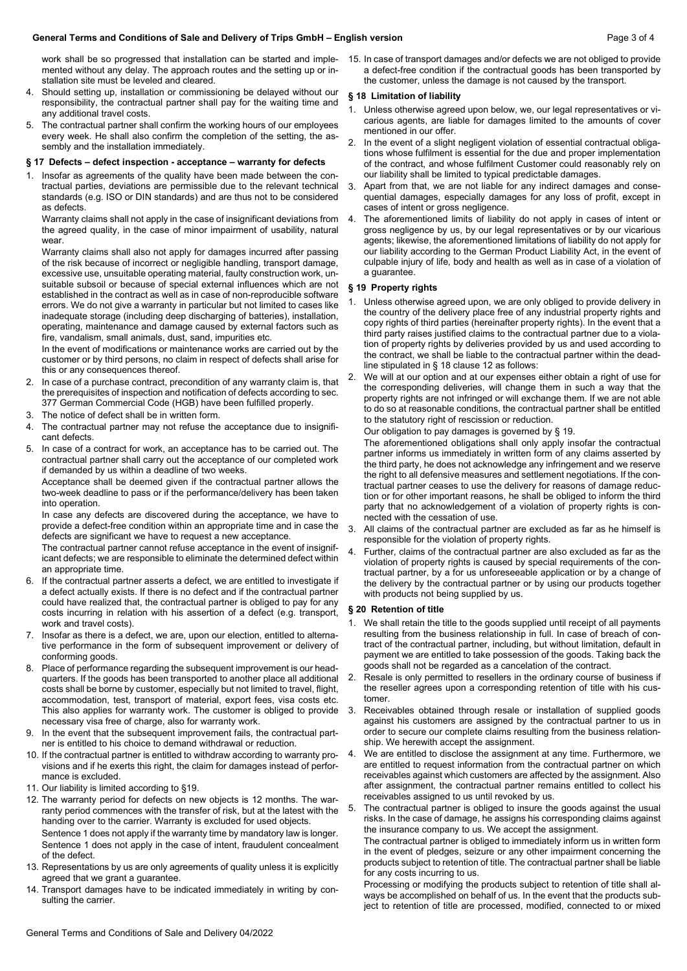## **General Terms and Conditions of Sale and Delivery of Trips GmbH – English version** Page 3 of 4

work shall be so progressed that installation can be started and implemented without any delay. The approach routes and the setting up or installation site must be leveled and cleared.

- 4. Should setting up, installation or commissioning be delayed without our responsibility, the contractual partner shall pay for the waiting time and any additional travel costs.
- 5. The contractual partner shall confirm the working hours of our employees every week. He shall also confirm the completion of the setting, the assembly and the installation immediately.

#### **§ 17 Defects – defect inspection - acceptance – warranty for defects**

1. Insofar as agreements of the quality have been made between the contractual parties, deviations are permissible due to the relevant technical standards (e.g. ISO or DIN standards) and are thus not to be considered as defects.

Warranty claims shall not apply in the case of insignificant deviations from the agreed quality, in the case of minor impairment of usability, natural **wear** 

Warranty claims shall also not apply for damages incurred after passing of the risk because of incorrect or negligible handling, transport damage, excessive use, unsuitable operating material, faulty construction work, unsuitable subsoil or because of special external influences which are not established in the contract as well as in case of non-reproducible software errors. We do not give a warranty in particular but not limited to cases like inadequate storage (including deep discharging of batteries), installation, operating, maintenance and damage caused by external factors such as fire, vandalism, small animals, dust, sand, impurities etc.

In the event of modifications or maintenance works are carried out by the customer or by third persons, no claim in respect of defects shall arise for this or any consequences thereof.

- 2. In case of a purchase contract, precondition of any warranty claim is, that the prerequisites of inspection and notification of defects according to sec. 377 German Commercial Code (HGB) have been fulfilled properly.
- 3. The notice of defect shall be in written form.
- 4. The contractual partner may not refuse the acceptance due to insignificant defects.
- 5. In case of a contract for work, an acceptance has to be carried out. The contractual partner shall carry out the acceptance of our completed work if demanded by us within a deadline of two weeks.

Acceptance shall be deemed given if the contractual partner allows the two-week deadline to pass or if the performance/delivery has been taken into operation.

In case any defects are discovered during the acceptance, we have to provide a defect-free condition within an appropriate time and in case the defects are significant we have to request a new acceptance.

The contractual partner cannot refuse acceptance in the event of insignificant defects; we are responsible to eliminate the determined defect within an appropriate time.

- 6. If the contractual partner asserts a defect, we are entitled to investigate if a defect actually exists. If there is no defect and if the contractual partner could have realized that, the contractual partner is obliged to pay for any costs incurring in relation with his assertion of a defect (e.g. transport, work and travel costs).
- 7. Insofar as there is a defect, we are, upon our election, entitled to alternative performance in the form of subsequent improvement or delivery of conforming goods.
- 8. Place of performance regarding the subsequent improvement is our headquarters. If the goods has been transported to another place all additional costs shall be borne by customer, especially but not limited to travel, flight, accommodation, test, transport of material, export fees, visa costs etc. This also applies for warranty work. The customer is obliged to provide necessary visa free of charge, also for warranty work.
- 9. In the event that the subsequent improvement fails, the contractual partner is entitled to his choice to demand withdrawal or reduction.
- 10. If the contractual partner is entitled to withdraw according to warranty provisions and if he exerts this right, the claim for damages instead of performance is excluded.
- 11. Our liability is limited according to §19.
- 12. The warranty period for defects on new objects is 12 months. The warranty period commences with the transfer of risk, but at the latest with the handing over to the carrier. Warranty is excluded for used objects. Sentence 1 does not apply if the warranty time by mandatory law is longer. Sentence 1 does not apply in the case of intent, fraudulent concealment of the defect.
- 13. Representations by us are only agreements of quality unless it is explicitly agreed that we grant a guarantee.
- 14. Transport damages have to be indicated immediately in writing by consulting the carrier.

15. In case of transport damages and/or defects we are not obliged to provide a defect-free condition if the contractual goods has been transported by the customer, unless the damage is not caused by the transport.

#### **§ 18 Limitation of liability**

- Unless otherwise agreed upon below, we, our legal representatives or vicarious agents, are liable for damages limited to the amounts of cover mentioned in our offer.
- 2. In the event of a slight negligent violation of essential contractual obligations whose fulfilment is essential for the due and proper implementation of the contract, and whose fulfilment Customer could reasonably rely on our liability shall be limited to typical predictable damages.
- Apart from that, we are not liable for any indirect damages and consequential damages, especially damages for any loss of profit, except in cases of intent or gross negligence.
- 4. The aforementioned limits of liability do not apply in cases of intent or gross negligence by us, by our legal representatives or by our vicarious agents; likewise, the aforementioned limitations of liability do not apply for our liability according to the German Product Liability Act, in the event of culpable injury of life, body and health as well as in case of a violation of a guarantee.

#### **§ 19 Property rights**

- Unless otherwise agreed upon, we are only obliged to provide delivery in the country of the delivery place free of any industrial property rights and copy rights of third parties (hereinafter property rights). In the event that a third party raises justified claims to the contractual partner due to a violation of property rights by deliveries provided by us and used according to the contract, we shall be liable to the contractual partner within the deadline stipulated in § 18 clause 12 as follows:
- We will at our option and at our expenses either obtain a right of use for the corresponding deliveries, will change them in such a way that the property rights are not infringed or will exchange them. If we are not able to do so at reasonable conditions, the contractual partner shall be entitled to the statutory right of rescission or reduction.
	- Our obligation to pay damages is governed by § 19.

The aforementioned obligations shall only apply insofar the contractual partner informs us immediately in written form of any claims asserted by the third party, he does not acknowledge any infringement and we reserve the right to all defensive measures and settlement negotiations. If the contractual partner ceases to use the delivery for reasons of damage reduction or for other important reasons, he shall be obliged to inform the third party that no acknowledgement of a violation of property rights is connected with the cessation of use.

- All claims of the contractual partner are excluded as far as he himself is responsible for the violation of property rights.
- 4. Further, claims of the contractual partner are also excluded as far as the violation of property rights is caused by special requirements of the contractual partner, by a for us unforeseeable application or by a change of the delivery by the contractual partner or by using our products together with products not being supplied by us.

#### **§ 20 Retention of title**

- 1. We shall retain the title to the goods supplied until receipt of all payments resulting from the business relationship in full. In case of breach of contract of the contractual partner, including, but without limitation, default in payment we are entitled to take possession of the goods. Taking back the goods shall not be regarded as a cancelation of the contract.
- Resale is only permitted to resellers in the ordinary course of business if the reseller agrees upon a corresponding retention of title with his customer.
- 3. Receivables obtained through resale or installation of supplied goods against his customers are assigned by the contractual partner to us in order to secure our complete claims resulting from the business relationship. We herewith accept the assignment.
- 4. We are entitled to disclose the assignment at any time. Furthermore, we are entitled to request information from the contractual partner on which receivables against which customers are affected by the assignment. Also after assignment, the contractual partner remains entitled to collect his receivables assigned to us until revoked by us.
- 5. The contractual partner is obliged to insure the goods against the usual risks. In the case of damage, he assigns his corresponding claims against the insurance company to us. We accept the assignment.

The contractual partner is obliged to immediately inform us in written form in the event of pledges, seizure or any other impairment concerning the products subject to retention of title. The contractual partner shall be liable for any costs incurring to us.

Processing or modifying the products subject to retention of title shall always be accomplished on behalf of us. In the event that the products subject to retention of title are processed, modified, connected to or mixed